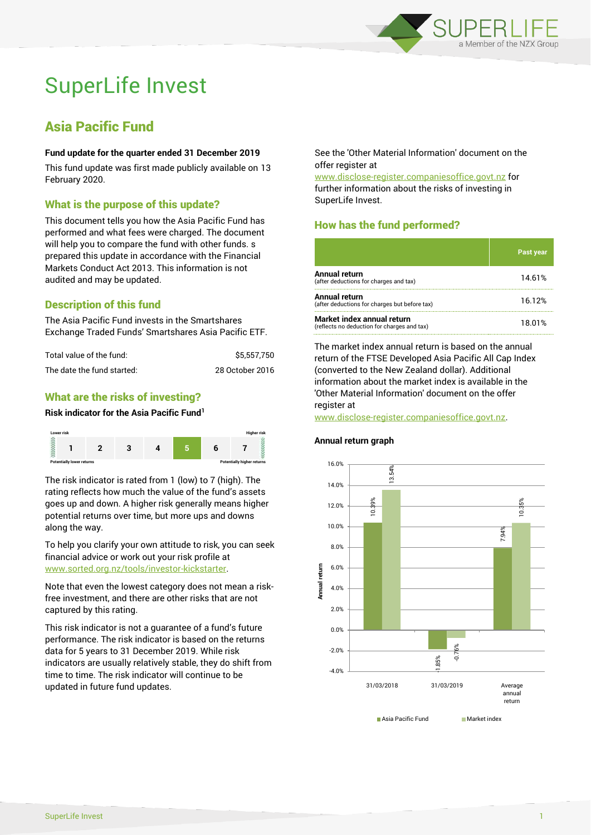

# SuperLife Invest

# Asia Pacific Fund

#### **Fund update for the quarter ended 31 December 2019**

This fund update was first made publicly available on 13 February 2020.

### What is the purpose of this update?

This document tells you how the Asia Pacific Fund has performed and what fees were charged. The document will help you to compare the fund with other funds. s prepared this update in accordance with the Financial Markets Conduct Act 2013. This information is not audited and may be updated.

# Description of this fund

The Asia Pacific Fund invests in the Smartshares Exchange Traded Funds' Smartshares Asia Pacific ETF.

| Total value of the fund:   | \$5,557,750     |  |  |
|----------------------------|-----------------|--|--|
| The date the fund started: | 28 October 2016 |  |  |

# What are the risks of investing?

#### **Risk indicator for the Asia Pacific Fund<sup>1</sup>**



The risk indicator is rated from 1 (low) to 7 (high). The rating reflects how much the value of the fund's assets goes up and down. A higher risk generally means higher potential returns over time, but more ups and downs along the way.

To help you clarify your own attitude to risk, you can seek financial advice or work out your risk profile at [www.sorted.org.nz/tools/investor-kickstarter.](http://www.sorted.org.nz/tools/investor-kickstarter)

Note that even the lowest category does not mean a riskfree investment, and there are other risks that are not captured by this rating.

This risk indicator is not a guarantee of a fund's future performance. The risk indicator is based on the returns data for 5 years to 31 December 2019. While risk indicators are usually relatively stable, they do shift from time to time. The risk indicator will continue to be updated in future fund updates.

See the 'Other Material Information' document on the offer register at

www.disclose-register.companiesoffice.govt.nz for further information about the risks of investing in SuperLife Invest.

# How has the fund performed?

|                                                                           | Past year |
|---------------------------------------------------------------------------|-----------|
| Annual return<br>(after deductions for charges and tax)                   | 14.61%    |
| Annual return<br>(after deductions for charges but before tax)            | 16.12%    |
| Market index annual return<br>(reflects no deduction for charges and tax) | 18.01%    |

The market index annual return is based on the annual return of the FTSE Developed Asia Pacific All Cap Index (converted to the New Zealand dollar). Additional information about the market index is available in the 'Other Material Information' document on the offer register at

www.disclose-register.companiesoffice.govt.nz.

# 10.39% -1.85% 7.94% 13.54% -0.76% 10.35% -4.0% -2.0% 0.0% 2.0% 4.0% 6.0% 8.0% 10.0% 12.0% 14.0% 16.0% 31/03/2018 31/03/2019 Average annual return **Annual return** Asia Pacific Fund Market index

#### **Annual return graph**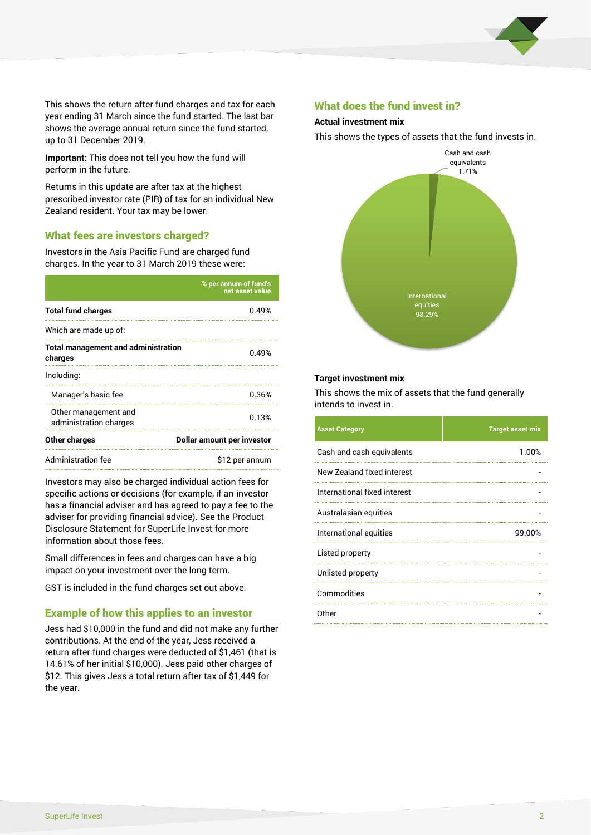

This shows the return after fund charges and tax for each year ending 31 March since the fund started. The last bar shows the average annual return since the fund started, up to 31 December 2019.

**Important:** This does not tell you how the fund will perform in the future.

Returns in this update are after tax at the highest prescribed investor rate (PIR) of tax for an individual New Zealand resident. Your tax may be lower.

# What fees are investors charged?

Investors in the Asia Pacific Fund are charged fund charges. In the year to 31 March 2019 these were:

|                                                       | % per annum of fund's<br>net asset value |  |
|-------------------------------------------------------|------------------------------------------|--|
| <b>Total fund charges</b>                             | በ 49%                                    |  |
| Which are made up of:                                 |                                          |  |
| <b>Total management and administration</b><br>charges | 0.49%                                    |  |
| Including:                                            |                                          |  |
| Manager's basic fee                                   | 0.36%                                    |  |
| Other management and<br>administration charges        | 0.13%                                    |  |
| Other charges                                         | Dollar amount per investor               |  |
| Administration fee                                    | \$12 per annum                           |  |

Investors may also be charged individual action fees for specific actions or decisions (for example, if an investor has a financial adviser and has agreed to pay a fee to the adviser for providing financial advice). See the Product Disclosure Statement for SuperLife Invest for more information about those fees.

Small differences in fees and charges can have a big impact on your investment over the long term.

GST is included in the fund charges set out above.

# Example of how this applies to an investor

Jess had \$10,000 in the fund and did not make any further contributions. At the end of the year, Jess received a return after fund charges were deducted of \$1,461 (that is 14.61% of her initial \$10,000). Jess paid other charges of \$12. This gives Jess a total return after tax of \$1,449 for the year.

#### What does the fund invest in?

#### **Actual investment mix**

This shows the types of assets that the fund invests in.



#### **Target investment mix**

This shows the mix of assets that the fund generally intends to invest in.

| <b>Asset Category</b>        | <b>Target asset mix</b> |
|------------------------------|-------------------------|
| Cash and cash equivalents    | 1.00%                   |
| New Zealand fixed interest   |                         |
| International fixed interest |                         |
| Australasian equities        |                         |
| International equities       | 99.00%                  |
| Listed property              |                         |
| Unlisted property            |                         |
| Commodities                  |                         |
| Other                        |                         |